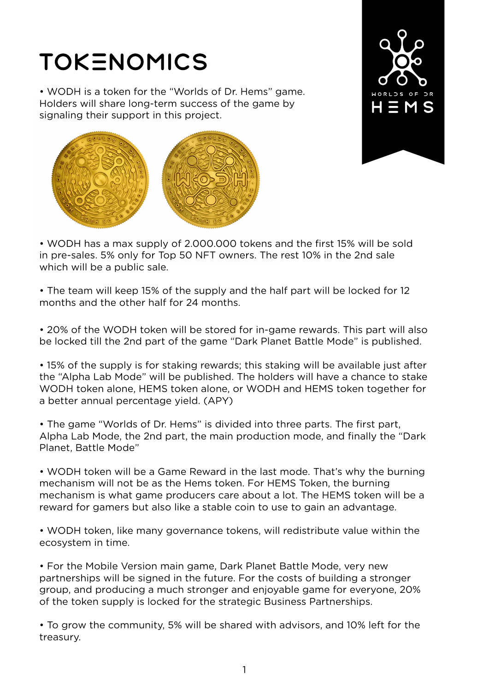## **TOKENOMICS**

• WODH is a token for the "Worlds of Dr. Hems" game. Holders will share long-term success of the game by signaling their support in this project.





• WODH has a max supply of 2.000.000 tokens and the first 15% will be sold in pre-sales. 5% only for Top 50 NFT owners. The rest 10% in the 2nd sale which will be a public sale.

• The team will keep 15% of the supply and the half part will be locked for 12 months and the other half for 24 months.

• 20% of the WODH token will be stored for in-game rewards. This part will also be locked till the 2nd part of the game "Dark Planet Battle Mode" is published.

• 15% of the supply is for staking rewards; this staking will be available just after the "Alpha Lab Mode" will be published. The holders will have a chance to stake WODH token alone, HEMS token alone, or WODH and HEMS token together for a better annual percentage yield. (APY)

• The game "Worlds of Dr. Hems" is divided into three parts. The first part, Alpha Lab Mode, the 2nd part, the main production mode, and finally the "Dark Planet, Battle Mode"

• WODH token will be a Game Reward in the last mode. That's why the burning mechanism will not be as the Hems token. For HEMS Token, the burning mechanism is what game producers care about a lot. The HEMS token will be a reward for gamers but also like a stable coin to use to gain an advantage.

• WODH token, like many governance tokens, will redistribute value within the ecosystem in time.

• For the Mobile Version main game, Dark Planet Battle Mode, very new partnerships will be signed in the future. For the costs of building a stronger group, and producing a much stronger and enjoyable game for everyone, 20% of the token supply is locked for the strategic Business Partnerships.

• To grow the community, 5% will be shared with advisors, and 10% left for the treasury.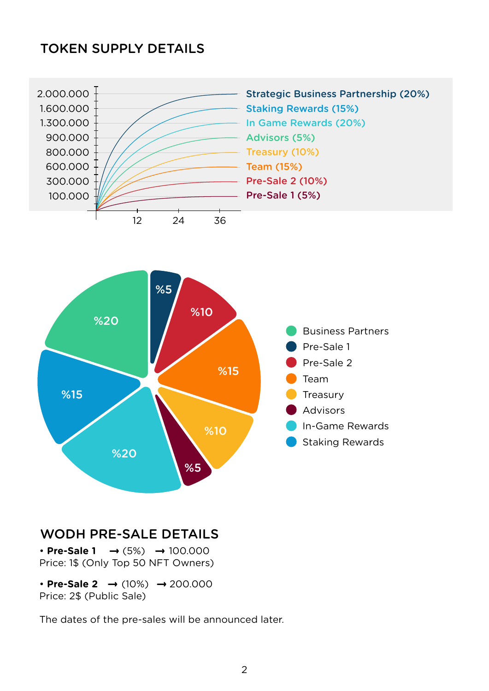## TOKEN SUPPLY DETAILS





## WODH PRE-SALE DETAILS

• **Pre-Sale 1** → (5%) → 100.000 Price: 1\$ (Only Top 50 NFT Owners)

• **Pre-Sale 2 →** (10%) → 200.000 Price: 2\$ (Public Sale)

The dates of the pre-sales will be announced later.